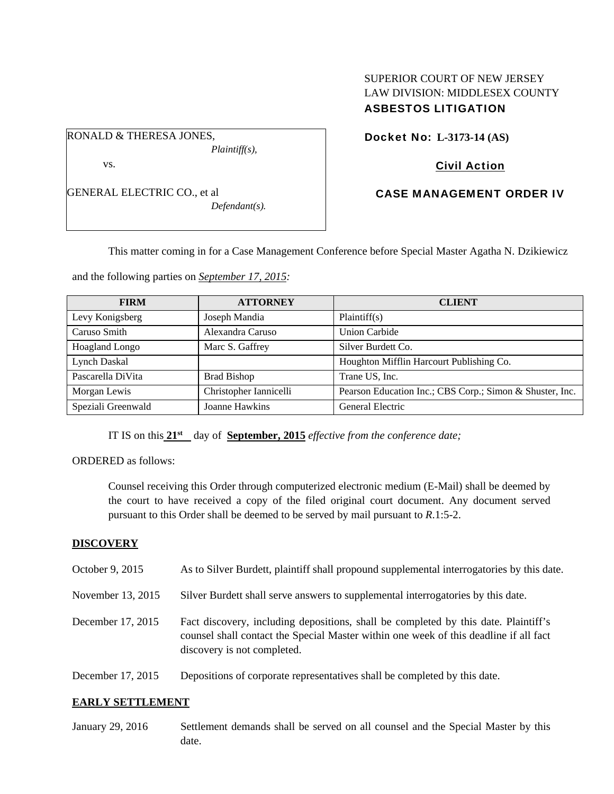RONALD & THERESA JONES, *Plaintiff(s),* 

vs.

GENERAL ELECTRIC CO., et al *Defendant(s).* 

SUPERIOR COURT OF NEW JERSEY LAW DIVISION: MIDDLESEX COUNTY ASBESTOS LITIGATION

Docket No: **L-3173-14 (AS)** 

# Civil Action

# CASE MANAGEMENT ORDER IV

This matter coming in for a Case Management Conference before Special Master Agatha N. Dzikiewicz

and the following parties on *September 17, 2015:*

| <b>FIRM</b>        | <b>ATTORNEY</b>        | <b>CLIENT</b>                                            |
|--------------------|------------------------|----------------------------------------------------------|
| Levy Konigsberg    | Joseph Mandia          | Plaintiff(s)                                             |
| Caruso Smith       | Alexandra Caruso       | <b>Union Carbide</b>                                     |
| Hoagland Longo     | Marc S. Gaffrey        | Silver Burdett Co.                                       |
| Lynch Daskal       |                        | Houghton Mifflin Harcourt Publishing Co.                 |
| Pascarella DiVita  | <b>Brad Bishop</b>     | Trane US, Inc.                                           |
| Morgan Lewis       | Christopher Iannicelli | Pearson Education Inc.; CBS Corp.; Simon & Shuster, Inc. |
| Speziali Greenwald | Joanne Hawkins         | General Electric                                         |

IT IS on this **21st** day of **September, 2015** *effective from the conference date;*

ORDERED as follows:

Counsel receiving this Order through computerized electronic medium (E-Mail) shall be deemed by the court to have received a copy of the filed original court document. Any document served pursuant to this Order shall be deemed to be served by mail pursuant to *R*.1:5-2.

## **DISCOVERY**

| October 9, 2015   | As to Silver Burdett, plaintiff shall propound supplemental interrogatories by this date.                                                                                                                   |
|-------------------|-------------------------------------------------------------------------------------------------------------------------------------------------------------------------------------------------------------|
| November 13, 2015 | Silver Burdett shall serve answers to supplemental interrogatories by this date.                                                                                                                            |
| December 17, 2015 | Fact discovery, including depositions, shall be completed by this date. Plaintiff's<br>counsel shall contact the Special Master within one week of this deadline if all fact<br>discovery is not completed. |
| December 17, 2015 | Depositions of corporate representatives shall be completed by this date.                                                                                                                                   |

## **EARLY SETTLEMENT**

January 29, 2016 Settlement demands shall be served on all counsel and the Special Master by this date.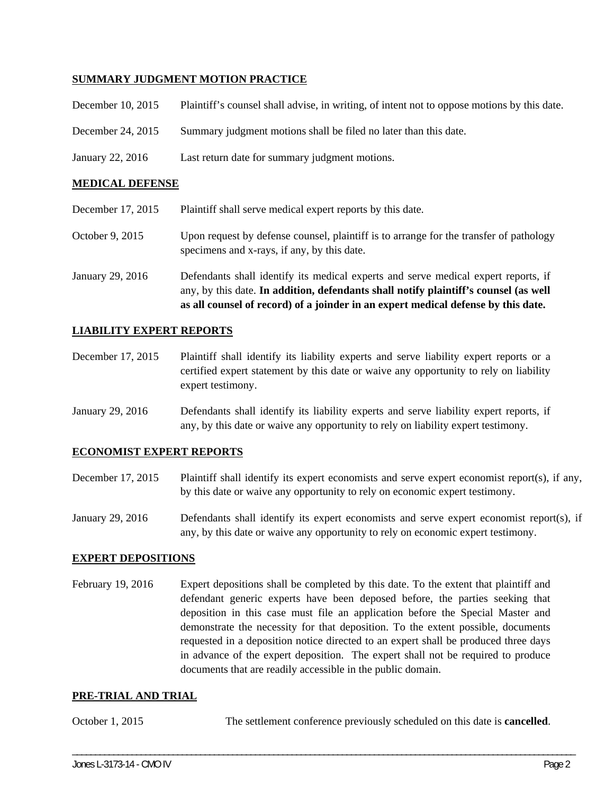## **SUMMARY JUDGMENT MOTION PRACTICE**

| December 10, 2015 | Plaintiff's counsel shall advise, in writing, of intent not to oppose motions by this date. |
|-------------------|---------------------------------------------------------------------------------------------|
| December 24, 2015 | Summary judgment motions shall be filed no later than this date.                            |
| January 22, 2016  | Last return date for summary judgment motions.                                              |

### **MEDICAL DEFENSE**

|                   | as all counsel of record) of a joinder in an expert medical defense by this date.                                                                                          |
|-------------------|----------------------------------------------------------------------------------------------------------------------------------------------------------------------------|
| January 29, 2016  | Defendants shall identify its medical experts and serve medical expert reports, if<br>any, by this date. In addition, defendants shall notify plaintiff's counsel (as well |
| October 9, 2015   | Upon request by defense counsel, plaintiff is to arrange for the transfer of pathology<br>specimens and x-rays, if any, by this date.                                      |
| December 17, 2015 | Plaintiff shall serve medical expert reports by this date.                                                                                                                 |

## **LIABILITY EXPERT REPORTS**

December 17, 2015 Plaintiff shall identify its liability experts and serve liability expert reports or a certified expert statement by this date or waive any opportunity to rely on liability expert testimony.

January 29, 2016 Defendants shall identify its liability experts and serve liability expert reports, if any, by this date or waive any opportunity to rely on liability expert testimony.

#### **ECONOMIST EXPERT REPORTS**

- December 17, 2015 Plaintiff shall identify its expert economists and serve expert economist report(s), if any, by this date or waive any opportunity to rely on economic expert testimony.
- January 29, 2016 Defendants shall identify its expert economists and serve expert economist report(s), if any, by this date or waive any opportunity to rely on economic expert testimony.

#### **EXPERT DEPOSITIONS**

February 19, 2016 Expert depositions shall be completed by this date. To the extent that plaintiff and defendant generic experts have been deposed before, the parties seeking that deposition in this case must file an application before the Special Master and demonstrate the necessity for that deposition. To the extent possible, documents requested in a deposition notice directed to an expert shall be produced three days in advance of the expert deposition. The expert shall not be required to produce documents that are readily accessible in the public domain.

#### **PRE-TRIAL AND TRIAL**

October 1, 2015 The settlement conference previously scheduled on this date is **cancelled**.

\_\_\_\_\_\_\_\_\_\_\_\_\_\_\_\_\_\_\_\_\_\_\_\_\_\_\_\_\_\_\_\_\_\_\_\_\_\_\_\_\_\_\_\_\_\_\_\_\_\_\_\_\_\_\_\_\_\_\_\_\_\_\_\_\_\_\_\_\_\_\_\_\_\_\_\_\_\_\_\_\_\_\_\_\_\_\_\_\_\_\_\_\_\_\_\_\_\_\_\_\_\_\_\_\_\_\_\_\_\_